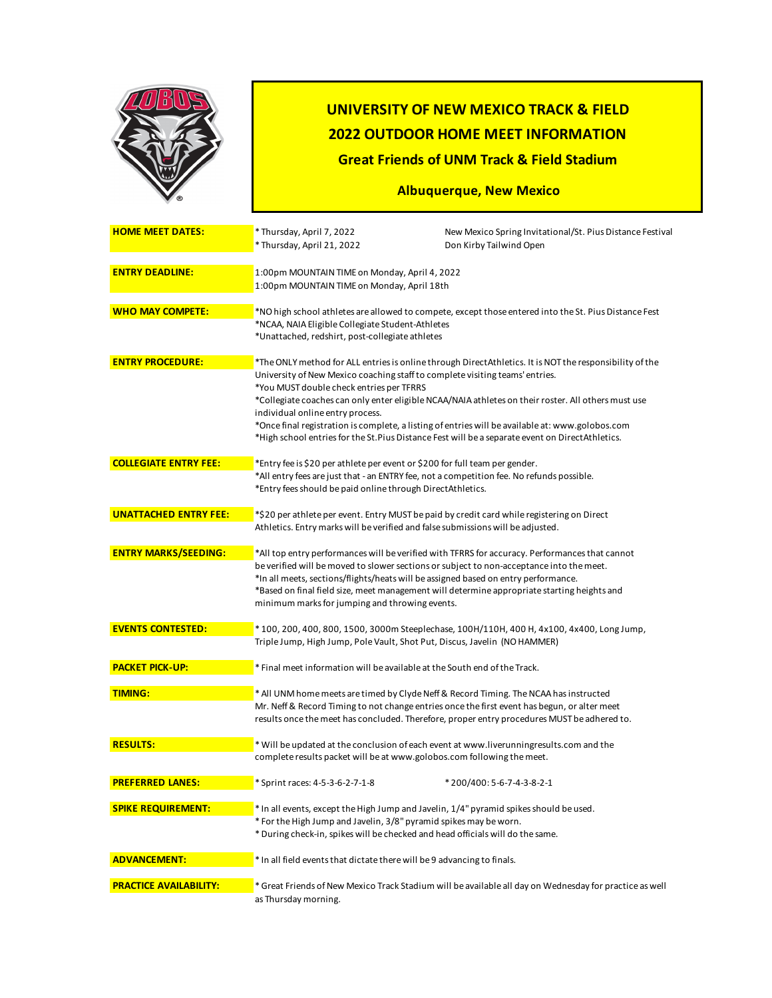|                               | UNIVERSITY OF NEW MEXICO TRACK & FIELD<br><b>2022 OUTDOOR HOME MEET INFORMATION</b><br><b>Great Friends of UNM Track &amp; Field Stadium</b><br><b>Albuquerque, New Mexico</b>                                                                                                                                                                                                                                                                                                                                                                                                        |                                                                                                                                                                                                                                                                                      |  |
|-------------------------------|---------------------------------------------------------------------------------------------------------------------------------------------------------------------------------------------------------------------------------------------------------------------------------------------------------------------------------------------------------------------------------------------------------------------------------------------------------------------------------------------------------------------------------------------------------------------------------------|--------------------------------------------------------------------------------------------------------------------------------------------------------------------------------------------------------------------------------------------------------------------------------------|--|
| <b>HOME MEET DATES:</b>       | * Thursday, April 7, 2022<br>* Thursday, April 21, 2022                                                                                                                                                                                                                                                                                                                                                                                                                                                                                                                               | New Mexico Spring Invitational/St. Pius Distance Festival<br>Don Kirby Tailwind Open                                                                                                                                                                                                 |  |
| <b>ENTRY DEADLINE:</b>        | 1:00pm MOUNTAIN TIME on Monday, April 4, 2022<br>1:00pm MOUNTAIN TIME on Monday, April 18th                                                                                                                                                                                                                                                                                                                                                                                                                                                                                           |                                                                                                                                                                                                                                                                                      |  |
| <b>WHO MAY COMPETE:</b>       | *NO high school athletes are allowed to compete, except those entered into the St. Pius Distance Fest<br>*NCAA, NAIA Eligible Collegiate Student-Athletes<br>*Unattached, redshirt, post-collegiate athletes                                                                                                                                                                                                                                                                                                                                                                          |                                                                                                                                                                                                                                                                                      |  |
| <b>ENTRY PROCEDURE:</b>       | *The ONLY method for ALL entries is online through DirectAthletics. It is NOT the responsibility of the<br>University of New Mexico coaching staff to complete visiting teams' entries.<br>*You MUST double check entries per TFRRS<br>*Collegiate coaches can only enter eligible NCAA/NAIA athletes on their roster. All others must use<br>individual online entry process.<br>*Once final registration is complete, a listing of entries will be available at: www.golobos.com<br>*High school entries for the St.Pius Distance Fest will be a separate event on DirectAthletics. |                                                                                                                                                                                                                                                                                      |  |
| <b>COLLEGIATE ENTRY FEE:</b>  | *Entry fees should be paid online through DirectAthletics.                                                                                                                                                                                                                                                                                                                                                                                                                                                                                                                            | *Entry fee is \$20 per athlete per event or \$200 for full team per gender.<br>*All entry fees are just that - an ENTRY fee, not a competition fee. No refunds possible.                                                                                                             |  |
| <b>UNATTACHED ENTRY FEE:</b>  | *\$20 per athlete per event. Entry MUST be paid by credit card while registering on Direct<br>Athletics. Entry marks will be verified and false submissions will be adjusted.                                                                                                                                                                                                                                                                                                                                                                                                         |                                                                                                                                                                                                                                                                                      |  |
| <b>ENTRY MARKS/SEEDING:</b>   | *All top entry performances will be verified with TFRRS for accuracy. Performances that cannot<br>be verified will be moved to slower sections or subject to non-acceptance into the meet.<br>*In all meets, sections/flights/heats will be assigned based on entry performance.<br>*Based on final field size, meet management will determine appropriate starting heights and<br>minimum marks for jumping and throwing events.                                                                                                                                                     |                                                                                                                                                                                                                                                                                      |  |
| <b>EVENTS CONTESTED:</b>      |                                                                                                                                                                                                                                                                                                                                                                                                                                                                                                                                                                                       | *100, 200, 400, 800, 1500, 3000m Steeplechase, 100H/110H, 400 H, 4x100, 4x400, Long Jump,<br>Triple Jump, High Jump, Pole Vault, Shot Put, Discus, Javelin (NO HAMMER)                                                                                                               |  |
| <b>PACKET PICK-UP:</b>        |                                                                                                                                                                                                                                                                                                                                                                                                                                                                                                                                                                                       | * Final meet information will be available at the South end of the Track.                                                                                                                                                                                                            |  |
| <b>TIMING:</b>                |                                                                                                                                                                                                                                                                                                                                                                                                                                                                                                                                                                                       | * All UNM home meets are timed by Clyde Neff & Record Timing. The NCAA has instructed<br>Mr. Neff & Record Timing to not change entries once the first event has begun, or alter meet<br>results once the meet has concluded. Therefore, proper entry procedures MUST be adhered to. |  |
| <b>RESULTS:</b>               |                                                                                                                                                                                                                                                                                                                                                                                                                                                                                                                                                                                       | * Will be updated at the conclusion of each event at www.liverunningresults.com and the<br>complete results packet will be at www.golobos.com following the meet.                                                                                                                    |  |
| <b>PREFERRED LANES:</b>       | * Sprint races: 4-5-3-6-2-7-1-8                                                                                                                                                                                                                                                                                                                                                                                                                                                                                                                                                       | * 200/400: 5-6-7-4-3-8-2-1                                                                                                                                                                                                                                                           |  |
| <b>SPIKE REQUIREMENT:</b>     | * In all events, except the High Jump and Javelin, 1/4" pyramid spikes should be used.<br>* For the High Jump and Javelin, 3/8" pyramid spikes may be worn.<br>* During check-in, spikes will be checked and head officials will do the same.                                                                                                                                                                                                                                                                                                                                         |                                                                                                                                                                                                                                                                                      |  |
| <b>ADVANCEMENT:</b>           | * In all field events that dictate there will be 9 advancing to finals.                                                                                                                                                                                                                                                                                                                                                                                                                                                                                                               |                                                                                                                                                                                                                                                                                      |  |
| <b>PRACTICE AVAILABILITY:</b> | * Great Friends of New Mexico Track Stadium will be available all day on Wednesday for practice as well<br>as Thursday morning.                                                                                                                                                                                                                                                                                                                                                                                                                                                       |                                                                                                                                                                                                                                                                                      |  |